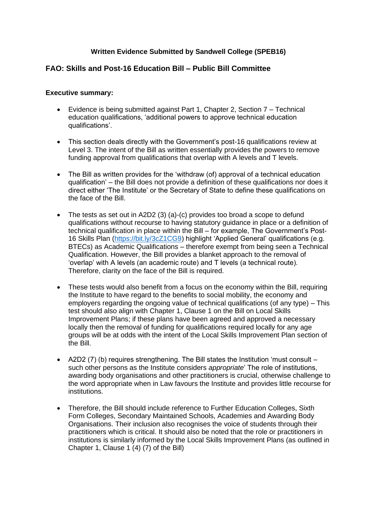#### **Written Evidence Submitted by Sandwell College (SPEB16)**

#### **FAO: Skills and Post-16 Education Bill – Public Bill Committee**

#### **Executive summary:**

- Evidence is being submitted against Part 1, Chapter 2, Section 7 Technical education qualifications, 'additional powers to approve technical education qualifications'.
- This section deals directly with the Government's post-16 qualifications review at Level 3. The intent of the Bill as written essentially provides the powers to remove funding approval from qualifications that overlap with A levels and T levels.
- The Bill as written provides for the 'withdraw (of) approval of a technical education qualification' – the Bill does not provide a definition of these qualifications nor does it direct either 'The Institute' or the Secretary of State to define these qualifications on the face of the Bill.
- The tests as set out in A2D2 (3) (a)-(c) provides too broad a scope to defund qualifications without recourse to having statutory guidance in place or a definition of technical qualification in place within the Bill – for example, The Government's Post-16 Skills Plan [\(https://bit.ly/3cZ1CG9\)](https://bit.ly/3cZ1CG9) highlight 'Applied General' qualifications (e.g. BTECs) as Academic Qualifications – therefore exempt from being seen a Technical Qualification. However, the Bill provides a blanket approach to the removal of 'overlap' with A levels (an academic route) and T levels (a technical route). Therefore, clarity on the face of the Bill is required.
- These tests would also benefit from a focus on the economy within the Bill, requiring the Institute to have regard to the benefits to social mobility, the economy and employers regarding the ongoing value of technical qualifications (of any type) – This test should also align with Chapter 1, Clause 1 on the Bill on Local Skills Improvement Plans; if these plans have been agreed and approved a necessary locally then the removal of funding for qualifications required locally for any age groups will be at odds with the intent of the Local Skills Improvement Plan section of the Bill.
- A2D2 (7) (b) requires strengthening. The Bill states the Institution 'must consult such other persons as the Institute considers *appropriate*' The role of institutions, awarding body organisations and other practitioners is crucial, otherwise challenge to the word appropriate when in Law favours the Institute and provides little recourse for institutions.
- Therefore, the Bill should include reference to Further Education Colleges, Sixth Form Colleges, Secondary Maintained Schools, Academies and Awarding Body Organisations. Their inclusion also recognises the voice of students through their practitioners which is critical. It should also be noted that the role or practitioners in institutions is similarly informed by the Local Skills Improvement Plans (as outlined in Chapter 1, Clause 1 (4) (7) of the Bill)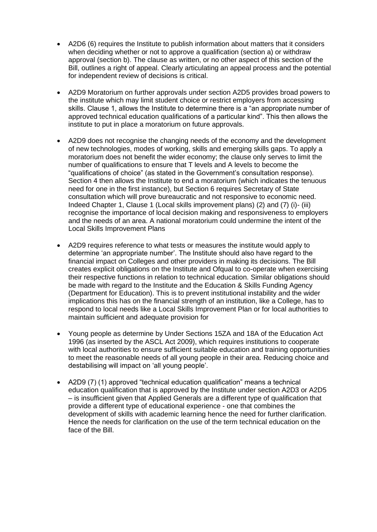- A2D6 (6) requires the Institute to publish information about matters that it considers when deciding whether or not to approve a qualification (section a) or withdraw approval (section b). The clause as written, or no other aspect of this section of the Bill, outlines a right of appeal. Clearly articulating an appeal process and the potential for independent review of decisions is critical.
- A2D9 Moratorium on further approvals under section A2D5 provides broad powers to the institute which may limit student choice or restrict employers from accessing skills. Clause 1, allows the Institute to determine there is a "an appropriate number of approved technical education qualifications of a particular kind". This then allows the institute to put in place a moratorium on future approvals.
- A2D9 does not recognise the changing needs of the economy and the development of new technologies, modes of working, skills and emerging skills gaps. To apply a moratorium does not benefit the wider economy; the clause only serves to limit the number of qualifications to ensure that T levels and A levels to become the "qualifications of choice" (as stated in the Government's consultation response). Section 4 then allows the Institute to end a moratorium (which indicates the tenuous need for one in the first instance), but Section 6 requires Secretary of State consultation which will prove bureaucratic and not responsive to economic need. Indeed Chapter 1, Clause 1 (Local skills improvement plans) (2) and (7) (i)- (iii) recognise the importance of local decision making and responsiveness to employers and the needs of an area. A national moratorium could undermine the intent of the Local Skills Improvement Plans
- A2D9 requires reference to what tests or measures the institute would apply to determine 'an appropriate number'. The Institute should also have regard to the financial impact on Colleges and other providers in making its decisions. The Bill creates explicit obligations on the Institute and Ofqual to co-operate when exercising their respective functions in relation to technical education. Similar obligations should be made with regard to the Institute and the Education & Skills Funding Agency (Department for Education). This is to prevent institutional instability and the wider implications this has on the financial strength of an institution, like a College, has to respond to local needs like a Local Skills Improvement Plan or for local authorities to maintain sufficient and adequate provision for
- Young people as determine by Under Sections 15ZA and 18A of the Education Act 1996 (as inserted by the ASCL Act 2009), which requires institutions to cooperate with local authorities to ensure sufficient suitable education and training opportunities to meet the reasonable needs of all young people in their area. Reducing choice and destabilising will impact on 'all young people'.
- A2D9 (7) (1) approved "technical education qualification" means a technical education qualification that is approved by the Institute under section A2D3 or A2D5 – is insufficient given that Applied Generals are a different type of qualification that provide a different type of educational experience - one that combines the development of skills with academic learning hence the need for further clarification. Hence the needs for clarification on the use of the term technical education on the face of the Bill.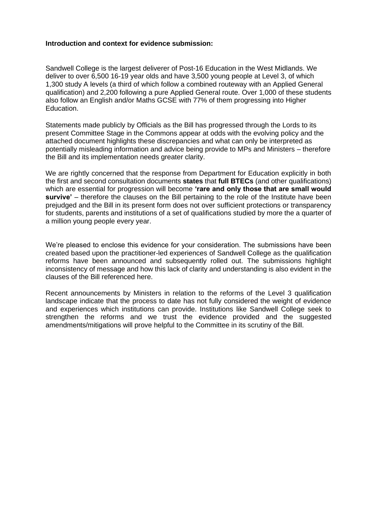#### **Introduction and context for evidence submission:**

Sandwell College is the largest deliverer of Post-16 Education in the West Midlands. We deliver to over 6,500 16-19 year olds and have 3,500 young people at Level 3, of which 1,300 study A levels (a third of which follow a combined routeway with an Applied General qualification) and 2,200 following a pure Applied General route. Over 1,000 of these students also follow an English and/or Maths GCSE with 77% of them progressing into Higher Education.

Statements made publicly by Officials as the Bill has progressed through the Lords to its present Committee Stage in the Commons appear at odds with the evolving policy and the attached document highlights these discrepancies and what can only be interpreted as potentially misleading information and advice being provide to MPs and Ministers – therefore the Bill and its implementation needs greater clarity.

We are rightly concerned that the response from Department for Education explicitly in both the first and second consultation documents **states** that **full BTECs** (and other qualifications) which are essential for progression will become **'rare and only those that are small would survive'** – therefore the clauses on the Bill pertaining to the role of the Institute have been prejudged and the Bill in its present form does not over sufficient protections or transparency for students, parents and institutions of a set of qualifications studied by more the a quarter of a million young people every year.

We're pleased to enclose this evidence for your consideration. The submissions have been created based upon the practitioner-led experiences of Sandwell College as the qualification reforms have been announced and subsequently rolled out. The submissions highlight inconsistency of message and how this lack of clarity and understanding is also evident in the clauses of the Bill referenced here.

Recent announcements by Ministers in relation to the reforms of the Level 3 qualification landscape indicate that the process to date has not fully considered the weight of evidence and experiences which institutions can provide. Institutions like Sandwell College seek to strengthen the reforms and we trust the evidence provided and the suggested amendments/mitigations will prove helpful to the Committee in its scrutiny of the Bill.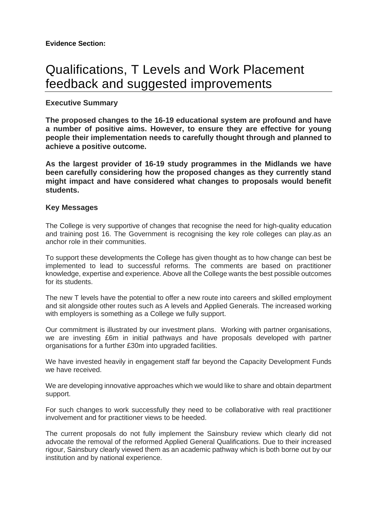# Qualifications, T Levels and Work Placement feedback and suggested improvements

# **Executive Summary**

**The proposed changes to the 16-19 educational system are profound and have a number of positive aims. However, to ensure they are effective for young people their implementation needs to carefully thought through and planned to achieve a positive outcome.**

**As the largest provider of 16-19 study programmes in the Midlands we have been carefully considering how the proposed changes as they currently stand might impact and have considered what changes to proposals would benefit students.**

# **Key Messages**

The College is very supportive of changes that recognise the need for high-quality education and training post 16. The Government is recognising the key role colleges can play.as an anchor role in their communities.

To support these developments the College has given thought as to how change can best be implemented to lead to successful reforms. The comments are based on practitioner knowledge, expertise and experience. Above all the College wants the best possible outcomes for its students.

The new T levels have the potential to offer a new route into careers and skilled employment and sit alongside other routes such as A levels and Applied Generals. The increased working with employers is something as a College we fully support.

Our commitment is illustrated by our investment plans. Working with partner organisations, we are investing £6m in initial pathways and have proposals developed with partner organisations for a further £30m into upgraded facilities.

We have invested heavily in engagement staff far beyond the Capacity Development Funds we have received.

We are developing innovative approaches which we would like to share and obtain department support.

For such changes to work successfully they need to be collaborative with real practitioner involvement and for practitioner views to be heeded.

The current proposals do not fully implement the Sainsbury review which clearly did not advocate the removal of the reformed Applied General Qualifications. Due to their increased rigour, Sainsbury clearly viewed them as an academic pathway which is both borne out by our institution and by national experience.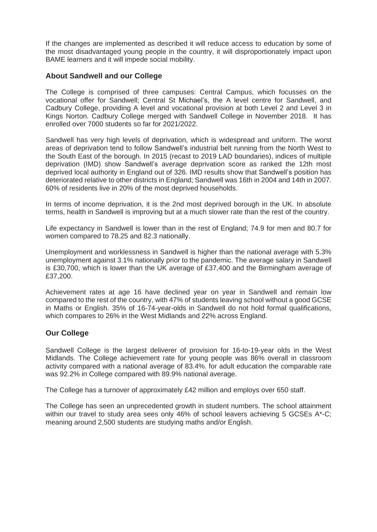If the changes are implemented as described it will reduce access to education by some of the most disadvantaged young people in the country, it will disproportionately impact upon BAME learners and it will impede social mobility.

# **About Sandwell and our College**

The College is comprised of three campuses: Central Campus, which focusses on the vocational offer for Sandwell; Central St Michael's, the A level centre for Sandwell, and Cadbury College, providing A level and vocational provision at both Level 2 and Level 3 in Kings Norton. Cadbury College merged with Sandwell College in November 2018. It has enrolled over 7000 students so far for 2021/2022.

Sandwell has very high levels of deprivation, which is widespread and uniform. The worst areas of deprivation tend to follow Sandwell's industrial belt running from the North West to the South East of the borough. In 2015 (recast to 2019 LAD boundaries), indices of multiple deprivation (IMD) show Sandwell's average deprivation score as ranked the 12th most deprived local authority in England out of 326. IMD results show that Sandwell's position has deteriorated relative to other districts in England; Sandwell was 16th in 2004 and 14th in 2007. 60% of residents live in 20% of the most deprived households.

In terms of income deprivation, it is the 2nd most deprived borough in the UK. In absolute terms, health in Sandwell is improving but at a much slower rate than the rest of the country.

Life expectancy in Sandwell is lower than in the rest of England; 74.9 for men and 80.7 for women compared to 78.25 and 82.3 nationally.

Unemployment and worklessness in Sandwell is higher than the national average with 5.3% unemployment against 3.1% nationally prior to the pandemic. The average salary in Sandwell is £30,700, which is lower than the UK average of £37,400 and the Birmingham average of £37,200.

Achievement rates at age 16 have declined year on year in Sandwell and remain low compared to the rest of the country, with 47% of students leaving school without a good GCSE in Maths or English. 35% of 16-74-year-olds in Sandwell do not hold formal qualifications, which compares to 26% in the West Midlands and 22% across England.

# **Our College**

Sandwell College is the largest deliverer of provision for 16-to-19-year olds in the West Midlands. The College achievement rate for young people was 86% overall in classroom activity compared with a national average of 83.4%. for adult education the comparable rate was 92.2% in College compared with 89.9% national average.

The College has a turnover of approximately £42 million and employs over 650 staff.

The College has seen an unprecedented growth in student numbers. The school attainment within our travel to study area sees only 46% of school leavers achieving 5 GCSEs A\*-C; meaning around 2,500 students are studying maths and/or English.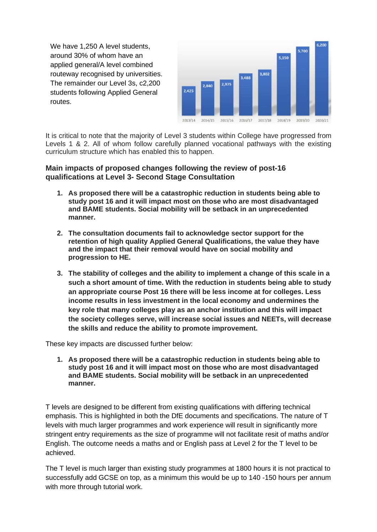We have 1,250 A level students. around 30% of whom have an applied general/A level combined routeway recognised by universities. The remainder our Level 3s, c2,200 students following Applied General routes.



It is critical to note that the majority of Level 3 students within College have progressed from Levels 1 & 2. All of whom follow carefully planned vocational pathways with the existing curriculum structure which has enabled this to happen.

#### **Main impacts of proposed changes following the review of post-16 qualifications at Level 3- Second Stage Consultation**

- **1. As proposed there will be a catastrophic reduction in students being able to study post 16 and it will impact most on those who are most disadvantaged and BAME students. Social mobility will be setback in an unprecedented manner.**
- **2. The consultation documents fail to acknowledge sector support for the retention of high quality Applied General Qualifications, the value they have and the impact that their removal would have on social mobility and progression to HE.**
- **3. The stability of colleges and the ability to implement a change of this scale in a such a short amount of time. With the reduction in students being able to study an appropriate course Post 16 there will be less income at for colleges. Less income results in less investment in the local economy and undermines the key role that many colleges play as an anchor institution and this will impact the society colleges serve, will increase social issues and NEETs, will decrease the skills and reduce the ability to promote improvement.**

These key impacts are discussed further below:

**1. As proposed there will be a catastrophic reduction in students being able to study post 16 and it will impact most on those who are most disadvantaged and BAME students. Social mobility will be setback in an unprecedented manner.**

T levels are designed to be different from existing qualifications with differing technical emphasis. This is highlighted in both the DfE documents and specifications. The nature of T levels with much larger programmes and work experience will result in significantly more stringent entry requirements as the size of programme will not facilitate resit of maths and/or English. The outcome needs a maths and or English pass at Level 2 for the T level to be achieved.

The T level is much larger than existing study programmes at 1800 hours it is not practical to successfully add GCSE on top, as a minimum this would be up to 140 -150 hours per annum with more through tutorial work.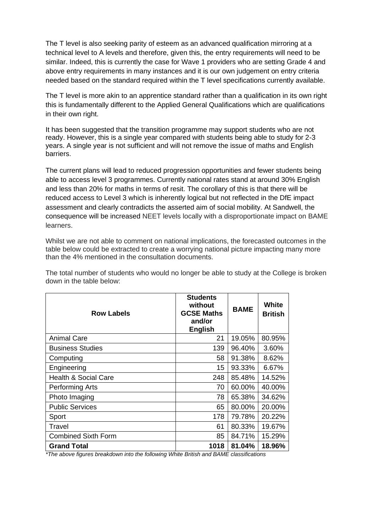The T level is also seeking parity of esteem as an advanced qualification mirroring at a technical level to A levels and therefore, given this, the entry requirements will need to be similar. Indeed, this is currently the case for Wave 1 providers who are setting Grade 4 and above entry requirements in many instances and it is our own judgement on entry criteria needed based on the standard required within the T level specifications currently available.

The T level is more akin to an apprentice standard rather than a qualification in its own right this is fundamentally different to the Applied General Qualifications which are qualifications in their own right.

It has been suggested that the transition programme may support students who are not ready. However, this is a single year compared with students being able to study for 2-3 years. A single year is not sufficient and will not remove the issue of maths and English barriers.

The current plans will lead to reduced progression opportunities and fewer students being able to access level 3 programmes. Currently national rates stand at around 30% English and less than 20% for maths in terms of resit. The corollary of this is that there will be reduced access to Level 3 which is inherently logical but not reflected in the DfE impact assessment and clearly contradicts the asserted aim of social mobility. At Sandwell, the consequence will be increased NEET levels locally with a disproportionate impact on BAME learners.

Whilst we are not able to comment on national implications, the forecasted outcomes in the table below could be extracted to create a worrying national picture impacting many more than the 4% mentioned in the consultation documents.

**Row Labels Students without GCSE Maths and/or English BAME White British** Animal Care 21 | 21 | 19.05% 80.95% Business Studies 139 | 96.40% 3.60% Computing 58 91.38% 8.62% Engineering 15 | 93.33% 6.67% Health & Social Care 248 85.48% 14.52% Performing Arts 70 | 60.00% 40.00% Photo Imaging 2.65.38% 34.62% Public Services **65 80.00%** 20.00% Sport 178 79.78% 20.22% Travel 61 80.33% 19.67% Combined Sixth Form  $85 | 84.71% | 15.29%$ **Grand Total 1018 81.04% 18.96%**

The total number of students who would no longer be able to study at the College is broken down in the table below:

*\*The above figures breakdown into the following White British and BAME classifications*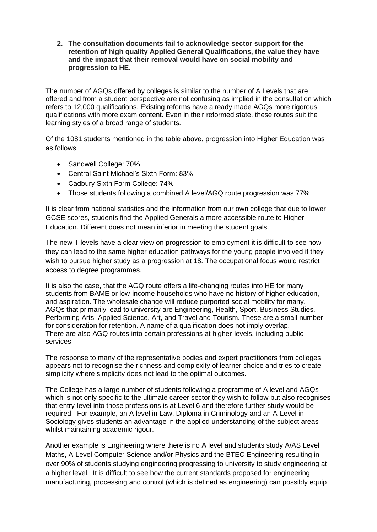**2. The consultation documents fail to acknowledge sector support for the retention of high quality Applied General Qualifications, the value they have and the impact that their removal would have on social mobility and progression to HE.**

The number of AGQs offered by colleges is similar to the number of A Levels that are offered and from a student perspective are not confusing as implied in the consultation which refers to 12,000 qualifications. Existing reforms have already made AGQs more rigorous qualifications with more exam content. Even in their reformed state, these routes suit the learning styles of a broad range of students.

Of the 1081 students mentioned in the table above, progression into Higher Education was as follows;

- Sandwell College: 70%
- Central Saint Michael's Sixth Form: 83%
- Cadbury Sixth Form College: 74%
- Those students following a combined A level/AGQ route progression was 77%

It is clear from national statistics and the information from our own college that due to lower GCSE scores, students find the Applied Generals a more accessible route to Higher Education. Different does not mean inferior in meeting the student goals.

The new T levels have a clear view on progression to employment it is difficult to see how they can lead to the same higher education pathways for the young people involved if they wish to pursue higher study as a progression at 18. The occupational focus would restrict access to degree programmes.

It is also the case, that the AGQ route offers a life-changing routes into HE for many students from BAME or low-income households who have no history of higher education, and aspiration. The wholesale change will reduce purported social mobility for many. AGQs that primarily lead to university are Engineering, Health, Sport, Business Studies, Performing Arts, Applied Science, Art, and Travel and Tourism. These are a small number for consideration for retention. A name of a qualification does not imply overlap. There are also AGQ routes into certain professions at higher-levels, including public services.

The response to many of the representative bodies and expert practitioners from colleges appears not to recognise the richness and complexity of learner choice and tries to create simplicity where simplicity does not lead to the optimal outcomes.

The College has a large number of students following a programme of A level and AGQs which is not only specific to the ultimate career sector they wish to follow but also recognises that entry-level into those professions is at Level 6 and therefore further study would be required. For example, an A level in Law, Diploma in Criminology and an A-Level in Sociology gives students an advantage in the applied understanding of the subject areas whilst maintaining academic rigour.

Another example is Engineering where there is no A level and students study A/AS Level Maths, A-Level Computer Science and/or Physics and the BTEC Engineering resulting in over 90% of students studying engineering progressing to university to study engineering at a higher level. It is difficult to see how the current standards proposed for engineering manufacturing, processing and control (which is defined as engineering) can possibly equip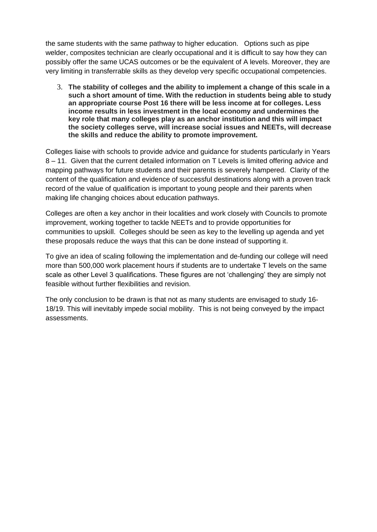the same students with the same pathway to higher education. Options such as pipe welder, composites technician are clearly occupational and it is difficult to say how they can possibly offer the same UCAS outcomes or be the equivalent of A levels. Moreover, they are very limiting in transferrable skills as they develop very specific occupational competencies.

3. **The stability of colleges and the ability to implement a change of this scale in a such a short amount of time. With the reduction in students being able to study an appropriate course Post 16 there will be less income at for colleges. Less income results in less investment in the local economy and undermines the key role that many colleges play as an anchor institution and this will impact the society colleges serve, will increase social issues and NEETs, will decrease the skills and reduce the ability to promote improvement.** 

Colleges liaise with schools to provide advice and guidance for students particularly in Years 8 – 11. Given that the current detailed information on T Levels is limited offering advice and mapping pathways for future students and their parents is severely hampered. Clarity of the content of the qualification and evidence of successful destinations along with a proven track record of the value of qualification is important to young people and their parents when making life changing choices about education pathways.

Colleges are often a key anchor in their localities and work closely with Councils to promote improvement, working together to tackle NEETs and to provide opportunities for communities to upskill. Colleges should be seen as key to the levelling up agenda and yet these proposals reduce the ways that this can be done instead of supporting it.

To give an idea of scaling following the implementation and de-funding our college will need more than 500,000 work placement hours if students are to undertake T levels on the same scale as other Level 3 qualifications. These figures are not 'challenging' they are simply not feasible without further flexibilities and revision.

The only conclusion to be drawn is that not as many students are envisaged to study 16- 18/19. This will inevitably impede social mobility. This is not being conveyed by the impact assessments.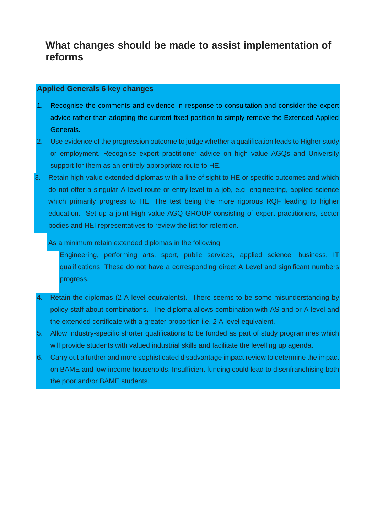# **What changes should be made to assist implementation of reforms**

#### **Applied Generals 6 key changes**

- 1. Recognise the comments and evidence in response to consultation and consider the expert advice rather than adopting the current fixed position to simply remove the Extended Applied Generals.
- 2. Use evidence of the progression outcome to judge whether a qualification leads to Higher study or employment. Recognise expert practitioner advice on high value AGQs and University support for them as an entirely appropriate route to HE.
- 3. Retain high-value extended diplomas with a line of sight to HE or specific outcomes and which do not offer a singular A level route or entry-level to a job, e.g. engineering, applied science which primarily progress to HE. The test being the more rigorous RQF leading to higher education. Set up a joint High value AGQ GROUP consisting of expert practitioners, sector bodies and HEI representatives to review the list for retention.

#### As a minimum retain extended diplomas in the following

Engineering, performing arts, sport, public services, applied science, business, IT qualifications. These do not have a corresponding direct A Level and significant numbers progress.

- 4. Retain the diplomas (2 A level equivalents). There seems to be some misunderstanding by policy staff about combinations. The diploma allows combination with AS and or A level and the extended certificate with a greater proportion i.e. 2 A level equivalent.
- 5. Allow industry-specific shorter qualifications to be funded as part of study programmes which will provide students with valued industrial skills and facilitate the levelling up agenda.
- 6. Carry out a further and more sophisticated disadvantage impact review to determine the impact on BAME and low-income households. Insufficient funding could lead to disenfranchising both the poor and/or BAME students.